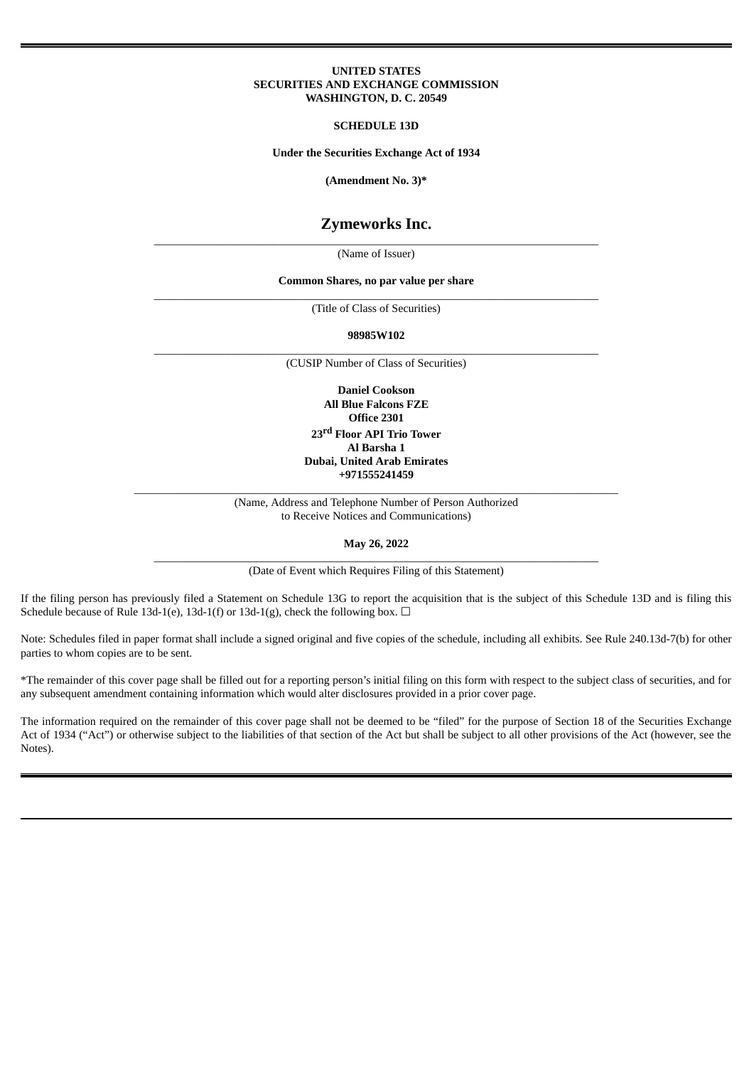#### **UNITED STATES SECURITIES AND EXCHANGE COMMISSION WASHINGTON, D. C. 20549**

**SCHEDULE 13D**

**Under the Securities Exchange Act of 1934**

**(Amendment No. 3)\***

# **Zymeworks Inc.**

\_\_\_\_\_\_\_\_\_\_\_\_\_\_\_\_\_\_\_\_\_\_\_\_\_\_\_\_\_\_\_\_\_\_\_\_\_\_\_\_\_\_\_\_\_\_\_\_\_\_\_\_\_\_\_\_\_\_\_\_\_\_\_\_\_\_\_\_\_\_\_\_\_\_\_\_\_\_ (Name of Issuer)

#### **Common Shares, no par value per share** \_\_\_\_\_\_\_\_\_\_\_\_\_\_\_\_\_\_\_\_\_\_\_\_\_\_\_\_\_\_\_\_\_\_\_\_\_\_\_\_\_\_\_\_\_\_\_\_\_\_\_\_\_\_\_\_\_\_\_\_\_\_\_\_\_\_\_\_\_\_\_\_\_\_\_\_\_\_

(Title of Class of Securities)

**98985W102** \_\_\_\_\_\_\_\_\_\_\_\_\_\_\_\_\_\_\_\_\_\_\_\_\_\_\_\_\_\_\_\_\_\_\_\_\_\_\_\_\_\_\_\_\_\_\_\_\_\_\_\_\_\_\_\_\_\_\_\_\_\_\_\_\_\_\_\_\_\_\_\_\_\_\_\_\_\_

(CUSIP Number of Class of Securities)

**Daniel Cookson All Blue Falcons FZE Office 2301 23 rd Floor API Trio Tower Al Barsha 1 Dubai, United Arab Emirates +971555241459**

\_\_\_\_\_\_\_\_\_\_\_\_\_\_\_\_\_\_\_\_\_\_\_\_\_\_\_\_\_\_\_\_\_\_\_\_\_\_\_\_\_\_\_\_\_\_\_\_\_\_\_\_\_\_\_\_\_\_\_\_\_\_\_\_\_\_\_\_\_\_\_\_\_\_\_\_\_\_\_\_\_\_\_\_\_ (Name, Address and Telephone Number of Person Authorized to Receive Notices and Communications)

**May 26, 2022** \_\_\_\_\_\_\_\_\_\_\_\_\_\_\_\_\_\_\_\_\_\_\_\_\_\_\_\_\_\_\_\_\_\_\_\_\_\_\_\_\_\_\_\_\_\_\_\_\_\_\_\_\_\_\_\_\_\_\_\_\_\_\_\_\_\_\_\_\_\_\_\_\_\_\_\_\_\_

(Date of Event which Requires Filing of this Statement)

If the filing person has previously filed a Statement on Schedule 13G to report the acquisition that is the subject of this Schedule 13D and is filing this Schedule because of Rule 13d-1(e), 13d-1(f) or 13d-1(g), check the following box.  $\Box$ 

Note: Schedules filed in paper format shall include a signed original and five copies of the schedule, including all exhibits. See Rule 240.13d-7(b) for other parties to whom copies are to be sent.

\*The remainder of this cover page shall be filled out for a reporting person's initial filing on this form with respect to the subject class of securities, and for any subsequent amendment containing information which would alter disclosures provided in a prior cover page.

The information required on the remainder of this cover page shall not be deemed to be "filed" for the purpose of Section 18 of the Securities Exchange Act of 1934 ("Act") or otherwise subject to the liabilities of that section of the Act but shall be subject to all other provisions of the Act (however, see the Notes).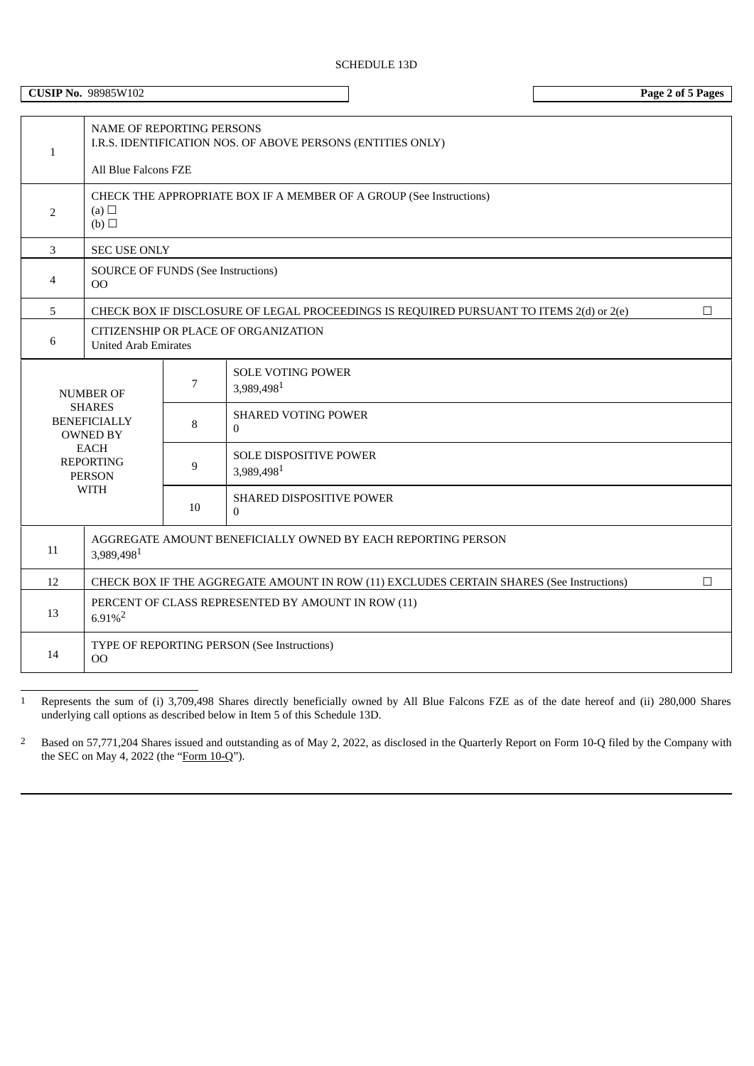| NAME OF REPORTING PERSONS<br>I.R.S. IDENTIFICATION NOS. OF ABOVE PERSONS (ENTITIES ONLY)<br>$\mathbf{1}$<br>All Blue Falcons FZE<br>CHECK THE APPROPRIATE BOX IF A MEMBER OF A GROUP (See Instructions)<br>(a) $\Box$<br>2<br>(b)<br>$\mathbf{3}$<br><b>SEC USE ONLY</b><br><b>SOURCE OF FUNDS (See Instructions)</b><br>$\overline{4}$<br>00<br>5<br>CHECK BOX IF DISCLOSURE OF LEGAL PROCEEDINGS IS REQUIRED PURSUANT TO ITEMS 2(d) or 2(e)<br>$\Box$<br>CITIZENSHIP OR PLACE OF ORGANIZATION<br>6<br><b>United Arab Emirates</b><br><b>SOLE VOTING POWER</b><br>7<br>3,989,4981<br><b>NUMBER OF</b><br><b>SHARES</b><br><b>SHARED VOTING POWER</b><br><b>BENEFICIALLY</b><br>8<br>$\Omega$<br><b>OWNED BY</b><br><b>EACH</b><br>SOLE DISPOSITIVE POWER<br><b>REPORTING</b><br>9<br>3,989,4981<br><b>PERSON</b><br><b>WITH</b><br><b>SHARED DISPOSITIVE POWER</b><br>10<br>$\mathbf{0}$<br>AGGREGATE AMOUNT BENEFICIALLY OWNED BY EACH REPORTING PERSON<br>11<br>3,989,4981<br>12<br>CHECK BOX IF THE AGGREGATE AMOUNT IN ROW (11) EXCLUDES CERTAIN SHARES (See Instructions)<br>$\Box$<br>PERCENT OF CLASS REPRESENTED BY AMOUNT IN ROW (11)<br>13<br>$6.91\%$ <sup>2</sup><br>TYPE OF REPORTING PERSON (See Instructions)<br>14 |  | <b>CUSIP No. 98985W102</b> |  |  | Page 2 of 5 Pages |  |  |  |  |  |
|-------------------------------------------------------------------------------------------------------------------------------------------------------------------------------------------------------------------------------------------------------------------------------------------------------------------------------------------------------------------------------------------------------------------------------------------------------------------------------------------------------------------------------------------------------------------------------------------------------------------------------------------------------------------------------------------------------------------------------------------------------------------------------------------------------------------------------------------------------------------------------------------------------------------------------------------------------------------------------------------------------------------------------------------------------------------------------------------------------------------------------------------------------------------------------------------------------------------------------------|--|----------------------------|--|--|-------------------|--|--|--|--|--|
|                                                                                                                                                                                                                                                                                                                                                                                                                                                                                                                                                                                                                                                                                                                                                                                                                                                                                                                                                                                                                                                                                                                                                                                                                                     |  |                            |  |  |                   |  |  |  |  |  |
|                                                                                                                                                                                                                                                                                                                                                                                                                                                                                                                                                                                                                                                                                                                                                                                                                                                                                                                                                                                                                                                                                                                                                                                                                                     |  |                            |  |  |                   |  |  |  |  |  |
|                                                                                                                                                                                                                                                                                                                                                                                                                                                                                                                                                                                                                                                                                                                                                                                                                                                                                                                                                                                                                                                                                                                                                                                                                                     |  |                            |  |  |                   |  |  |  |  |  |
|                                                                                                                                                                                                                                                                                                                                                                                                                                                                                                                                                                                                                                                                                                                                                                                                                                                                                                                                                                                                                                                                                                                                                                                                                                     |  |                            |  |  |                   |  |  |  |  |  |
|                                                                                                                                                                                                                                                                                                                                                                                                                                                                                                                                                                                                                                                                                                                                                                                                                                                                                                                                                                                                                                                                                                                                                                                                                                     |  |                            |  |  |                   |  |  |  |  |  |
|                                                                                                                                                                                                                                                                                                                                                                                                                                                                                                                                                                                                                                                                                                                                                                                                                                                                                                                                                                                                                                                                                                                                                                                                                                     |  |                            |  |  |                   |  |  |  |  |  |
|                                                                                                                                                                                                                                                                                                                                                                                                                                                                                                                                                                                                                                                                                                                                                                                                                                                                                                                                                                                                                                                                                                                                                                                                                                     |  |                            |  |  |                   |  |  |  |  |  |
|                                                                                                                                                                                                                                                                                                                                                                                                                                                                                                                                                                                                                                                                                                                                                                                                                                                                                                                                                                                                                                                                                                                                                                                                                                     |  |                            |  |  |                   |  |  |  |  |  |
|                                                                                                                                                                                                                                                                                                                                                                                                                                                                                                                                                                                                                                                                                                                                                                                                                                                                                                                                                                                                                                                                                                                                                                                                                                     |  |                            |  |  |                   |  |  |  |  |  |
|                                                                                                                                                                                                                                                                                                                                                                                                                                                                                                                                                                                                                                                                                                                                                                                                                                                                                                                                                                                                                                                                                                                                                                                                                                     |  |                            |  |  |                   |  |  |  |  |  |
|                                                                                                                                                                                                                                                                                                                                                                                                                                                                                                                                                                                                                                                                                                                                                                                                                                                                                                                                                                                                                                                                                                                                                                                                                                     |  |                            |  |  |                   |  |  |  |  |  |
|                                                                                                                                                                                                                                                                                                                                                                                                                                                                                                                                                                                                                                                                                                                                                                                                                                                                                                                                                                                                                                                                                                                                                                                                                                     |  |                            |  |  |                   |  |  |  |  |  |
|                                                                                                                                                                                                                                                                                                                                                                                                                                                                                                                                                                                                                                                                                                                                                                                                                                                                                                                                                                                                                                                                                                                                                                                                                                     |  |                            |  |  |                   |  |  |  |  |  |
|                                                                                                                                                                                                                                                                                                                                                                                                                                                                                                                                                                                                                                                                                                                                                                                                                                                                                                                                                                                                                                                                                                                                                                                                                                     |  |                            |  |  |                   |  |  |  |  |  |
|                                                                                                                                                                                                                                                                                                                                                                                                                                                                                                                                                                                                                                                                                                                                                                                                                                                                                                                                                                                                                                                                                                                                                                                                                                     |  | O <sub>O</sub>             |  |  |                   |  |  |  |  |  |

1 Represents the sum of (i) 3,709,498 Shares directly beneficially owned by All Blue Falcons FZE as of the date hereof and (ii) 280,000 Shares underlying call options as described below in Item 5 of this Schedule 13D.

<sup>2</sup> Based on 57,771,204 Shares issued and outstanding as of May 2, 2022, as disclosed in the Quarterly Report on Form 10-Q filed by the Company with the SEC on May 4, 2022 (the "Form 10-Q").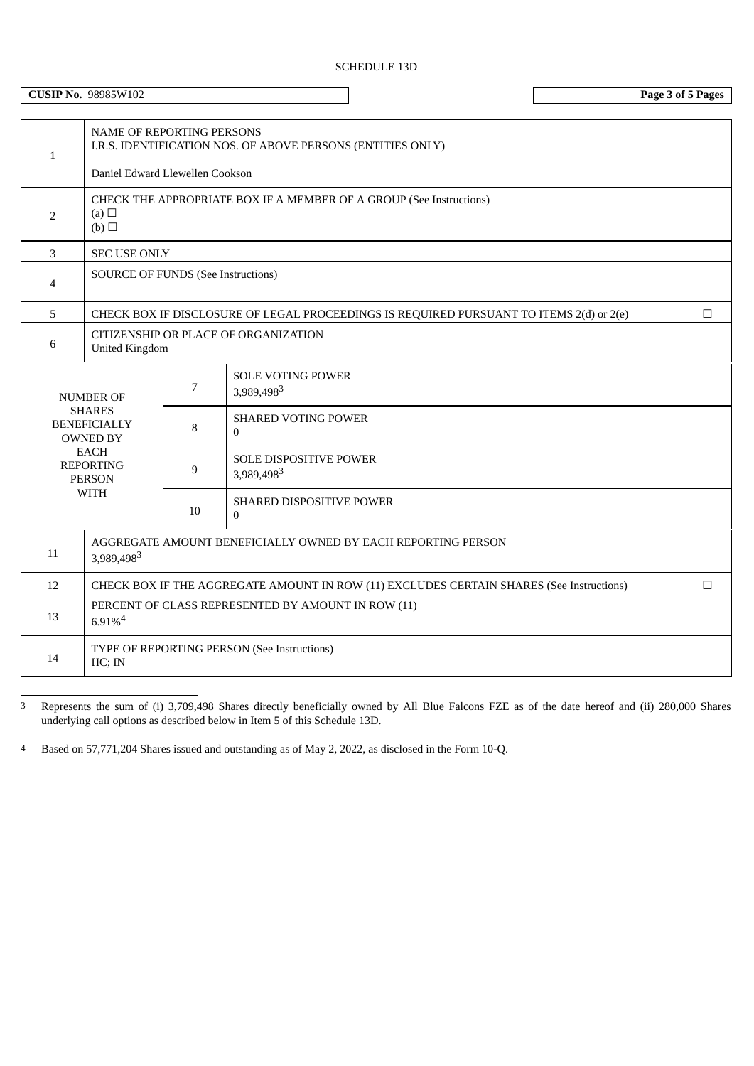# SCHEDULE 13D

**CUSIP No.** 98985W102 **Page 3 of 5 Pages**

| $\mathbf{1}$   | <b>NAME OF REPORTING PERSONS</b><br>I.R.S. IDENTIFICATION NOS. OF ABOVE PERSONS (ENTITIES ONLY)                            |    |                                             |  |  |  |  |  |  |
|----------------|----------------------------------------------------------------------------------------------------------------------------|----|---------------------------------------------|--|--|--|--|--|--|
|                | Daniel Edward Llewellen Cookson                                                                                            |    |                                             |  |  |  |  |  |  |
| $\overline{2}$ | CHECK THE APPROPRIATE BOX IF A MEMBER OF A GROUP (See Instructions)<br>(a) $\Box$<br>(b)                                   |    |                                             |  |  |  |  |  |  |
| 3              | <b>SEC USE ONLY</b>                                                                                                        |    |                                             |  |  |  |  |  |  |
| $\overline{4}$ | <b>SOURCE OF FUNDS (See Instructions)</b>                                                                                  |    |                                             |  |  |  |  |  |  |
| 5              | CHECK BOX IF DISCLOSURE OF LEGAL PROCEEDINGS IS REQUIRED PURSUANT TO ITEMS 2(d) or 2(e)<br>П                               |    |                                             |  |  |  |  |  |  |
| 6              | CITIZENSHIP OR PLACE OF ORGANIZATION<br><b>United Kingdom</b>                                                              |    |                                             |  |  |  |  |  |  |
|                | <b>NUMBER OF</b>                                                                                                           | 7  | <b>SOLE VOTING POWER</b><br>3,989,4983      |  |  |  |  |  |  |
|                | <b>SHARES</b><br><b>BENEFICIALLY</b><br><b>OWNED BY</b><br><b>EACH</b><br><b>REPORTING</b><br><b>PERSON</b><br><b>WITH</b> | 8  | <b>SHARED VOTING POWER</b><br>$\Omega$      |  |  |  |  |  |  |
|                |                                                                                                                            | 9  | <b>SOLE DISPOSITIVE POWER</b><br>3,989,4983 |  |  |  |  |  |  |
|                |                                                                                                                            | 10 | SHARED DISPOSITIVE POWER<br>$\Omega$        |  |  |  |  |  |  |
| 11             | AGGREGATE AMOUNT BENEFICIALLY OWNED BY EACH REPORTING PERSON<br>3,989,4983                                                 |    |                                             |  |  |  |  |  |  |
| 12             | CHECK BOX IF THE AGGREGATE AMOUNT IN ROW (11) EXCLUDES CERTAIN SHARES (See Instructions)<br>П                              |    |                                             |  |  |  |  |  |  |
| 13             | PERCENT OF CLASS REPRESENTED BY AMOUNT IN ROW (11)<br>$6.91\%$ <sup>4</sup>                                                |    |                                             |  |  |  |  |  |  |
| 14             | TYPE OF REPORTING PERSON (See Instructions)<br>$HC$ ; IN                                                                   |    |                                             |  |  |  |  |  |  |

3 Represents the sum of (i) 3,709,498 Shares directly beneficially owned by All Blue Falcons FZE as of the date hereof and (ii) 280,000 Shares underlying call options as described below in Item 5 of this Schedule 13D.

4 Based on 57,771,204 Shares issued and outstanding as of May 2, 2022, as disclosed in the Form 10-Q.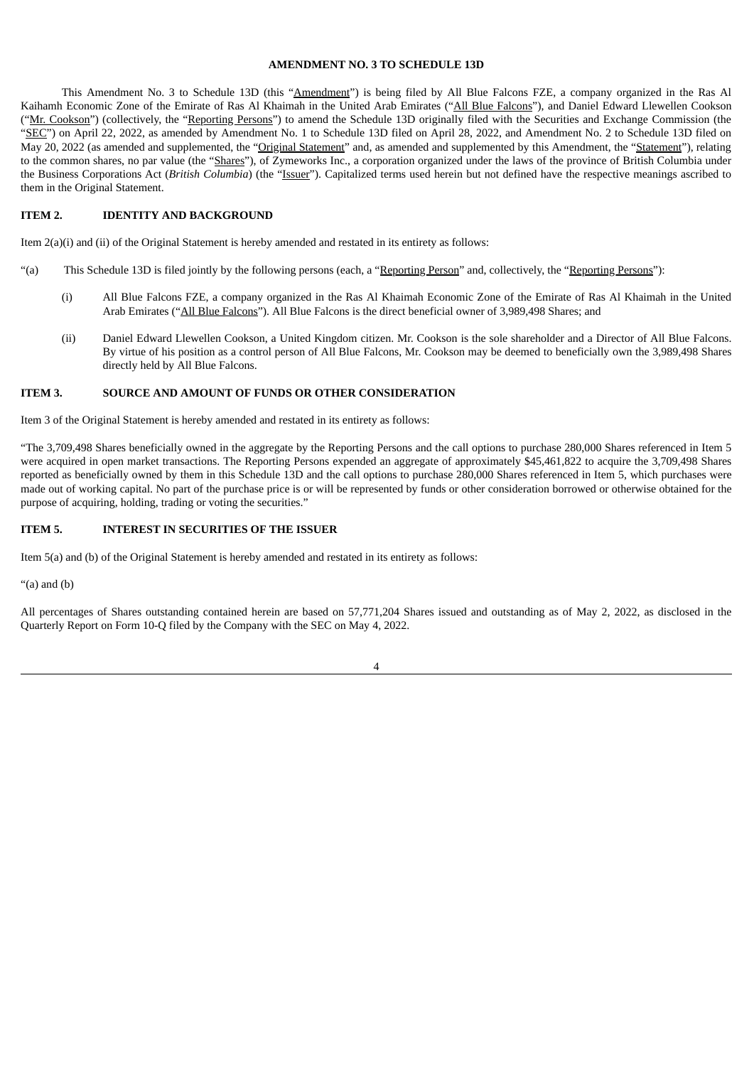### **AMENDMENT NO. 3 TO SCHEDULE 13D**

This Amendment No. 3 to Schedule 13D (this "Amendment") is being filed by All Blue Falcons FZE, a company organized in the Ras Al Kaihamh Economic Zone of the Emirate of Ras Al Khaimah in the United Arab Emirates ("All Blue Falcons"), and Daniel Edward Llewellen Cookson ("Mr. Cookson") (collectively, the "Reporting Persons") to amend the Schedule 13D originally filed with the Securities and Exchange Commission (the "SEC") on April 22, 2022, as amended by Amendment No. 1 to Schedule 13D filed on April 28, 2022, and Amendment No. 2 to Schedule 13D filed on May 20, 2022 (as amended and supplemented, the "Original Statement" and, as amended and supplemented by this Amendment, the "Statement"), relating to the common shares, no par value (the "Shares"), of Zymeworks Inc., a corporation organized under the laws of the province of British Columbia under the Business Corporations Act (*British Columbia*) (the "Issuer"). Capitalized terms used herein but not defined have the respective meanings ascribed to them in the Original Statement.

#### **ITEM 2. IDENTITY AND BACKGROUND**

Item 2(a)(i) and (ii) of the Original Statement is hereby amended and restated in its entirety as follows:

- "(a) This Schedule 13D is filed jointly by the following persons (each, a "Reporting Person" and, collectively, the "Reporting Persons"):
	- (i) All Blue Falcons FZE, a company organized in the Ras Al Khaimah Economic Zone of the Emirate of Ras Al Khaimah in the United Arab Emirates ("All Blue Falcons"). All Blue Falcons is the direct beneficial owner of 3,989,498 Shares; and
	- (ii) Daniel Edward Llewellen Cookson, a United Kingdom citizen. Mr. Cookson is the sole shareholder and a Director of All Blue Falcons. By virtue of his position as a control person of All Blue Falcons, Mr. Cookson may be deemed to beneficially own the 3,989,498 Shares directly held by All Blue Falcons.

#### **ITEM 3. SOURCE AND AMOUNT OF FUNDS OR OTHER CONSIDERATION**

Item 3 of the Original Statement is hereby amended and restated in its entirety as follows:

"The 3,709,498 Shares beneficially owned in the aggregate by the Reporting Persons and the call options to purchase 280,000 Shares referenced in Item 5 were acquired in open market transactions. The Reporting Persons expended an aggregate of approximately \$45,461,822 to acquire the 3,709,498 Shares reported as beneficially owned by them in this Schedule 13D and the call options to purchase 280,000 Shares referenced in Item 5, which purchases were made out of working capital. No part of the purchase price is or will be represented by funds or other consideration borrowed or otherwise obtained for the purpose of acquiring, holding, trading or voting the securities."

### **ITEM 5. INTEREST IN SECURITIES OF THE ISSUER**

Item 5(a) and (b) of the Original Statement is hereby amended and restated in its entirety as follows:

"(a) and (b)

All percentages of Shares outstanding contained herein are based on 57,771,204 Shares issued and outstanding as of May 2, 2022, as disclosed in the Quarterly Report on Form 10-Q filed by the Company with the SEC on May 4, 2022.

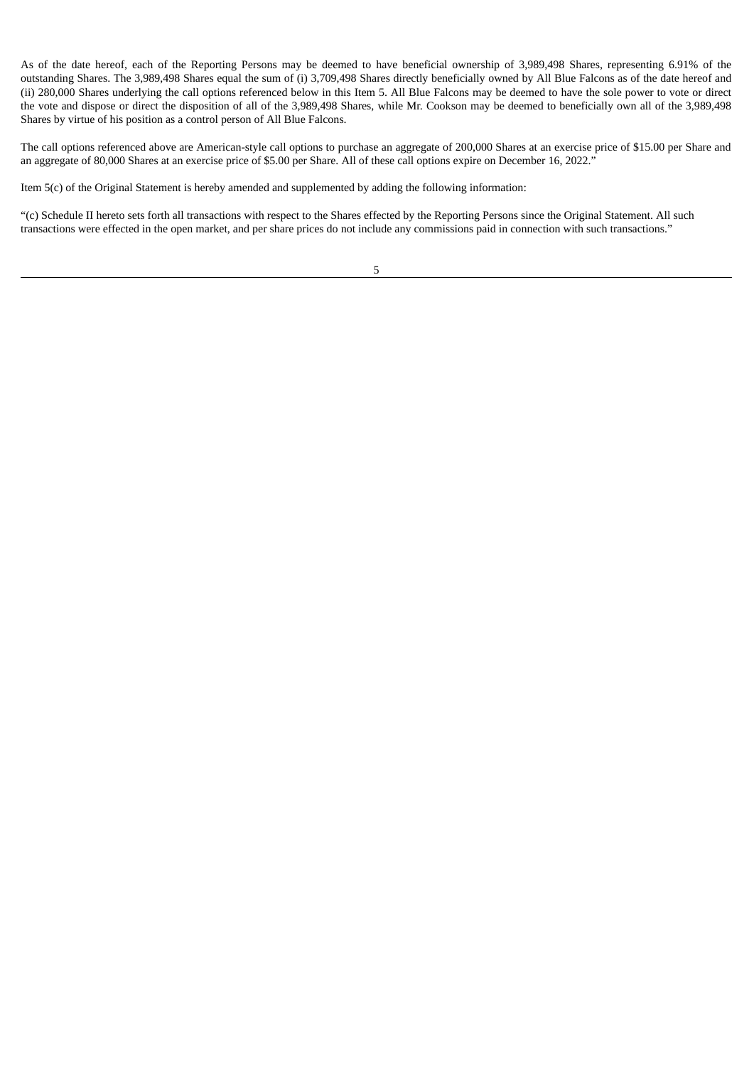As of the date hereof, each of the Reporting Persons may be deemed to have beneficial ownership of 3,989,498 Shares, representing 6.91% of the outstanding Shares. The 3,989,498 Shares equal the sum of (i) 3,709,498 Shares directly beneficially owned by All Blue Falcons as of the date hereof and (ii) 280,000 Shares underlying the call options referenced below in this Item 5. All Blue Falcons may be deemed to have the sole power to vote or direct the vote and dispose or direct the disposition of all of the 3,989,498 Shares, while Mr. Cookson may be deemed to beneficially own all of the 3,989,498 Shares by virtue of his position as a control person of All Blue Falcons.

The call options referenced above are American-style call options to purchase an aggregate of 200,000 Shares at an exercise price of \$15.00 per Share and an aggregate of 80,000 Shares at an exercise price of \$5.00 per Share. All of these call options expire on December 16, 2022."

Item 5(c) of the Original Statement is hereby amended and supplemented by adding the following information:

"(c) Schedule II hereto sets forth all transactions with respect to the Shares effected by the Reporting Persons since the Original Statement. All such transactions were effected in the open market, and per share prices do not include any commissions paid in connection with such transactions."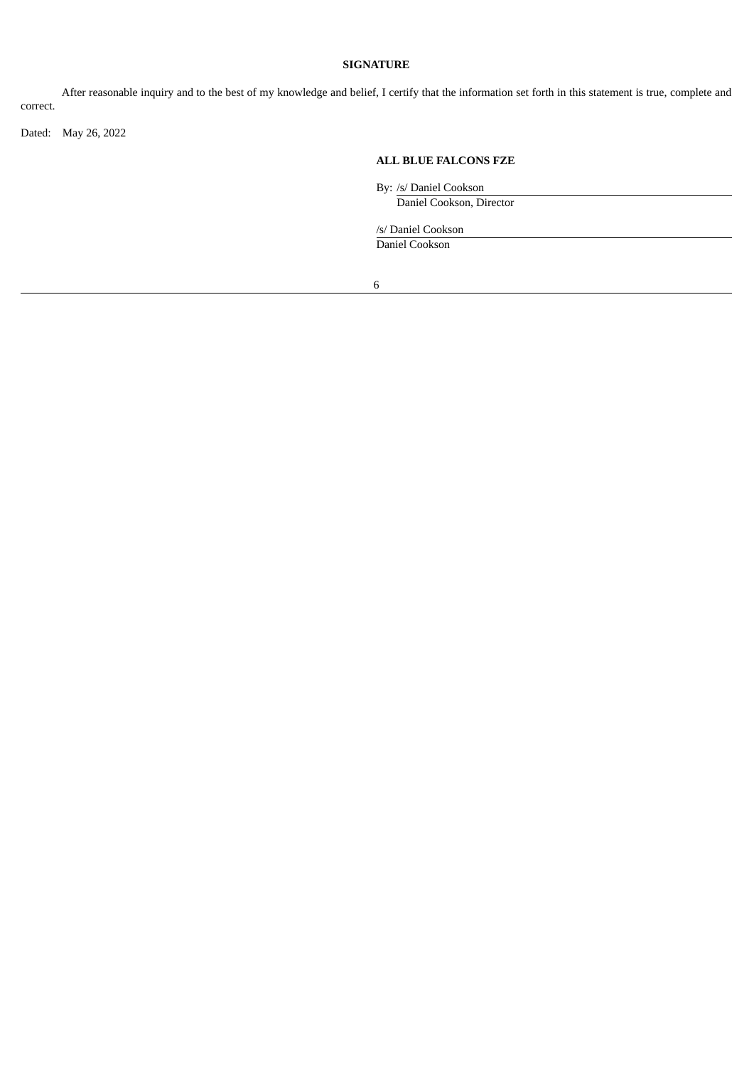### **SIGNATURE**

After reasonable inquiry and to the best of my knowledge and belief, I certify that the information set forth in this statement is true, complete and correct.

Dated: May 26, 2022

### **ALL BLUE FALCONS FZE**

By: /s/ Daniel Cookson

Daniel Cookson, Director

/s/ Daniel Cookson

Daniel Cookson